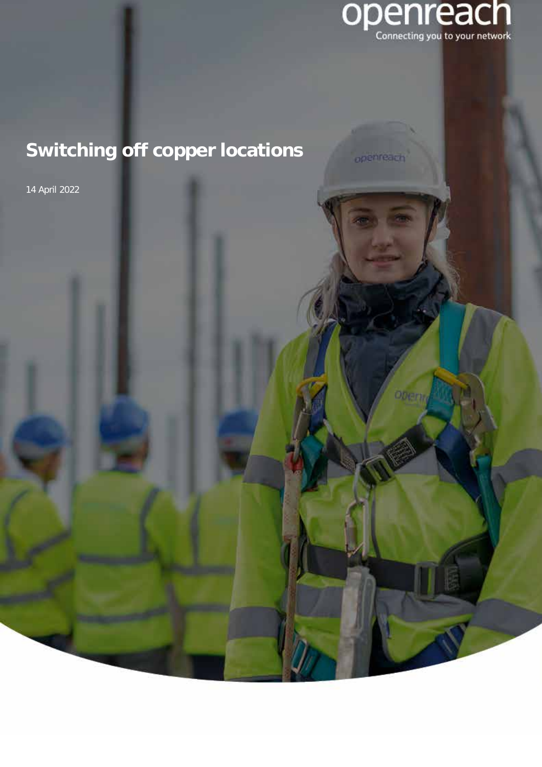

14 April 2022

openreach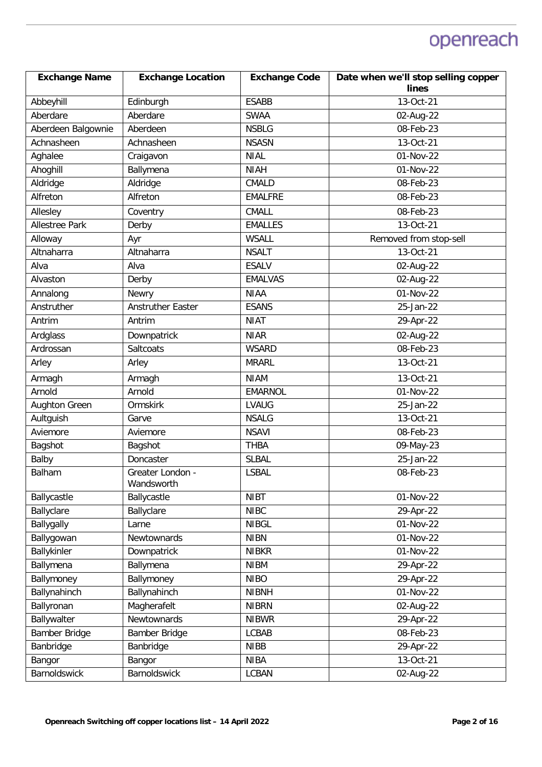| <b>Exchange Name</b>  | <b>Exchange Location</b>       | <b>Exchange Code</b> | Date when we'll stop selling copper |
|-----------------------|--------------------------------|----------------------|-------------------------------------|
|                       |                                |                      | lines                               |
| Abbeyhill             | Edinburgh                      | <b>ESABB</b>         | 13-Oct-21                           |
| Aberdare              | Aberdare                       | <b>SWAA</b>          | 02-Aug-22                           |
| Aberdeen Balgownie    | Aberdeen                       | <b>NSBLG</b>         | 08-Feb-23                           |
| Achnasheen            | Achnasheen                     | <b>NSASN</b>         | 13-Oct-21                           |
| Aghalee               | Craigavon                      | <b>NIAL</b>          | 01-Nov-22                           |
| Ahoghill              | Ballymena                      | <b>NIAH</b>          | 01-Nov-22                           |
| Aldridge              | Aldridge                       | <b>CMALD</b>         | 08-Feb-23                           |
| Alfreton              | Alfreton                       | <b>EMALFRE</b>       | 08-Feb-23                           |
| Allesley              | Coventry                       | CMALL                | 08-Feb-23                           |
| <b>Allestree Park</b> | Derby                          | <b>EMALLES</b>       | 13-Oct-21                           |
| Alloway               | Ayr                            | <b>WSALL</b>         | Removed from stop-sell              |
| Altnaharra            | Altnaharra                     | <b>NSALT</b>         | 13-Oct-21                           |
| Alva                  | Alva                           | <b>ESALV</b>         | 02-Aug-22                           |
| Alvaston              | Derby                          | <b>EMALVAS</b>       | 02-Aug-22                           |
| Annalong              | Newry                          | <b>NIAA</b>          | 01-Nov-22                           |
| Anstruther            | <b>Anstruther Easter</b>       | <b>ESANS</b>         | 25-Jan-22                           |
| Antrim                | Antrim                         | <b>NIAT</b>          | 29-Apr-22                           |
| Ardglass              | Downpatrick                    | <b>NIAR</b>          | 02-Aug-22                           |
| Ardrossan             | Saltcoats                      | <b>WSARD</b>         | $\overline{08}$ -Feb-23             |
| Arley                 | Arley                          | <b>MRARL</b>         | 13-Oct-21                           |
| Armagh                | Armagh                         | <b>NIAM</b>          | 13-Oct-21                           |
| Arnold                | Arnold                         | <b>EMARNOL</b>       | 01-Nov-22                           |
| <b>Aughton Green</b>  | Ormskirk                       | <b>LVAUG</b>         | 25-Jan-22                           |
| Aultguish             | Garve                          | <b>NSALG</b>         | 13-Oct-21                           |
| Aviemore              | Aviemore                       | <b>NSAVI</b>         | 08-Feb-23                           |
| Bagshot               | Bagshot                        | <b>THBA</b>          | 09-May-23                           |
| Balby                 | Doncaster                      | <b>SLBAL</b>         | 25-Jan-22                           |
| <b>Balham</b>         | Greater London -<br>Wandsworth | <b>LSBAL</b>         | 08-Feb-23                           |
| Ballycastle           | Ballycastle                    | <b>NIBT</b>          | 01-Nov-22                           |
| Ballyclare            | Ballyclare                     | <b>NIBC</b>          | 29-Apr-22                           |
| Ballygally            | Larne                          | <b>NIBGL</b>         | 01-Nov-22                           |
| Ballygowan            | Newtownards                    | <b>NIBN</b>          | 01-Nov-22                           |
| Ballykinler           | Downpatrick                    | <b>NIBKR</b>         | 01-Nov-22                           |
| Ballymena             | Ballymena                      | <b>NIBM</b>          | 29-Apr-22                           |
| Ballymoney            | Ballymoney                     | <b>NIBO</b>          | 29-Apr-22                           |
| Ballynahinch          | Ballynahinch                   | <b>NIBNH</b>         | 01-Nov-22                           |
| Ballyronan            | Magherafelt                    | <b>NIBRN</b>         | 02-Aug-22                           |
| Ballywalter           | Newtownards                    | <b>NIBWR</b>         | 29-Apr-22                           |
| Bamber Bridge         | Bamber Bridge                  | LCBAB                | 08-Feb-23                           |
| Banbridge             | Banbridge                      | <b>NIBB</b>          | 29-Apr-22                           |
| Bangor                | Bangor                         | <b>NIBA</b>          | 13-Oct-21                           |
| Barnoldswick          | Barnoldswick                   | <b>LCBAN</b>         | 02-Aug-22                           |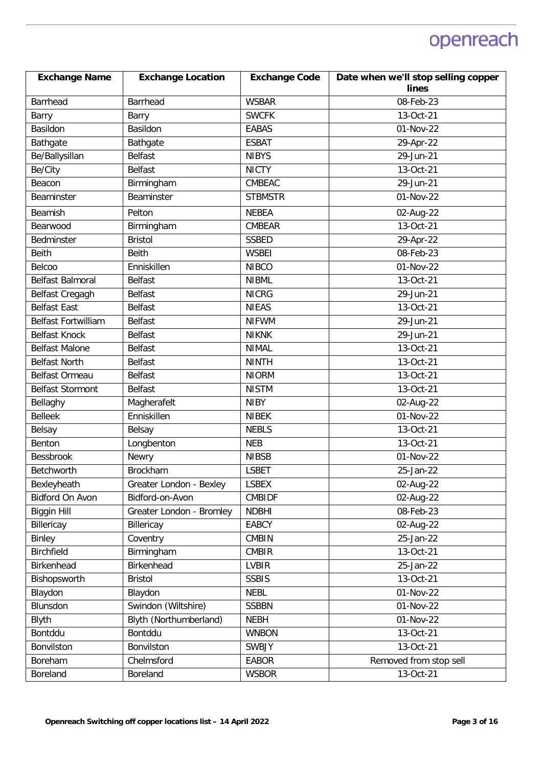| <b>Exchange Name</b>       | <b>Exchange Location</b> | <b>Exchange Code</b> | Date when we'll stop selling copper |
|----------------------------|--------------------------|----------------------|-------------------------------------|
|                            |                          |                      | lines                               |
| <b>Barrhead</b>            | <b>Barrhead</b>          | <b>WSBAR</b>         | 08-Feb-23                           |
| Barry                      | Barry                    | <b>SWCFK</b>         | 13-Oct-21                           |
| Basildon                   | Basildon                 | <b>EABAS</b>         | 01-Nov-22                           |
| Bathgate                   | Bathgate                 | <b>ESBAT</b>         | 29-Apr-22                           |
| Be/Ballysillan             | <b>Belfast</b>           | <b>NIBYS</b>         | $\overline{29}$ -Jun-21             |
| Be/City                    | <b>Belfast</b>           | <b>NICTY</b>         | 13-Oct-21                           |
| Beacon                     | Birmingham               | <b>CMBEAC</b>        | $29$ -Jun-21                        |
| Beaminster                 | Beaminster               | <b>STBMSTR</b>       | 01-Nov-22                           |
| Beamish                    | Pelton                   | <b>NEBEA</b>         | 02-Aug-22                           |
| Bearwood                   | Birmingham               | <b>CMBEAR</b>        | $\overline{13}$ -Oct-21             |
| Bedminster                 | <b>Bristol</b>           | <b>SSBED</b>         | 29-Apr-22                           |
| <b>Beith</b>               | <b>Beith</b>             | <b>WSBEI</b>         | 08-Feb-23                           |
| Belcoo                     | Enniskillen              | <b>NIBCO</b>         | 01-Nov-22                           |
| <b>Belfast Balmoral</b>    | <b>Belfast</b>           | <b>NIBML</b>         | 13-Oct-21                           |
| Belfast Cregagh            | <b>Belfast</b>           | <b>NICRG</b>         | 29-Jun-21                           |
| <b>Belfast East</b>        | <b>Belfast</b>           | <b>NIEAS</b>         | 13-Oct-21                           |
| <b>Belfast Fortwilliam</b> | <b>Belfast</b>           | <b>NIFWM</b>         | 29-Jun-21                           |
| <b>Belfast Knock</b>       | <b>Belfast</b>           | <b>NIKNK</b>         | 29-Jun-21                           |
| <b>Belfast Malone</b>      | <b>Belfast</b>           | <b>NIMAL</b>         | 13-Oct-21                           |
| <b>Belfast North</b>       | Belfast                  | <b>NINTH</b>         | 13-Oct-21                           |
| Belfast Ormeau             | <b>Belfast</b>           | <b>NIORM</b>         | 13-Oct-21                           |
| <b>Belfast Stormont</b>    | <b>Belfast</b>           | <b>NISTM</b>         | 13-Oct-21                           |
| Bellaghy                   | Magherafelt              | <b>NIBY</b>          | 02-Aug-22                           |
| <b>Belleek</b>             | Enniskillen              | <b>NIBEK</b>         | 01-Nov-22                           |
| Belsay                     | Belsay                   | <b>NEBLS</b>         | 13-Oct-21                           |
| Benton                     | Longbenton               | <b>NEB</b>           | 13-Oct-21                           |
| <b>Bessbrook</b>           | Newry                    | <b>NIBSB</b>         | 01-Nov-22                           |
| Betchworth                 | <b>Brockham</b>          | <b>LSBET</b>         | 25-Jan-22                           |
| Bexleyheath                | Greater London - Bexley  | <b>LSBEX</b>         | 02-Aug-22                           |
| Bidford On Avon            | Bidford-on-Avon          | <b>CMBIDF</b>        | 02-Aug-22                           |
| <b>Biggin Hill</b>         | Greater London - Bromley | <b>NDBHI</b>         | 08-Feb-23                           |
| Billericay                 | Billericay               | <b>EABCY</b>         | 02-Aug-22                           |
| Binley                     | Coventry                 | <b>CMBIN</b>         | 25-Jan-22                           |
| Birchfield                 | Birmingham               | <b>CMBIR</b>         | 13-Oct-21                           |
| Birkenhead                 | Birkenhead               | <b>LVBIR</b>         | 25-Jan-22                           |
| Bishopsworth               | <b>Bristol</b>           | <b>SSBIS</b>         | 13-Oct-21                           |
| Blaydon                    | Blaydon                  | <b>NEBL</b>          | 01-Nov-22                           |
| Blunsdon                   | Swindon (Wiltshire)      | <b>SSBBN</b>         | 01-Nov-22                           |
| Blyth                      | Blyth (Northumberland)   | <b>NEBH</b>          | 01-Nov-22                           |
| Bontddu                    | Bontddu                  | <b>WNBON</b>         | 13-Oct-21                           |
| Bonvilston                 | Bonvilston               | <b>SWBJY</b>         | 13-Oct-21                           |
| Boreham                    | Chelmsford               | <b>EABOR</b>         | Removed from stop sell              |
| Boreland                   | Boreland                 | <b>WSBOR</b>         | 13-Oct-21                           |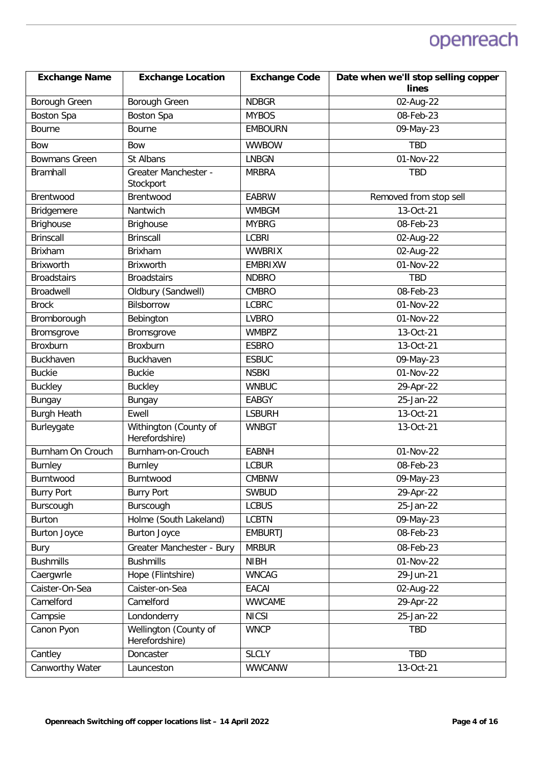| <b>Exchange Name</b> | <b>Exchange Location</b>                | <b>Exchange Code</b> | Date when we'll stop selling copper<br>lines |
|----------------------|-----------------------------------------|----------------------|----------------------------------------------|
| Borough Green        | Borough Green                           | <b>NDBGR</b>         | 02-Aug-22                                    |
| Boston Spa           | <b>Boston Spa</b>                       | <b>MYBOS</b>         | 08-Feb-23                                    |
| Bourne               | Bourne                                  | <b>EMBOURN</b>       | 09-May-23                                    |
| <b>Bow</b>           | <b>Bow</b>                              | <b>WWBOW</b>         | <b>TBD</b>                                   |
| <b>Bowmans Green</b> | St Albans                               | <b>LNBGN</b>         | 01-Nov-22                                    |
| <b>Bramhall</b>      | Greater Manchester -<br>Stockport       | <b>MRBRA</b>         | <b>TBD</b>                                   |
| Brentwood            | Brentwood                               | <b>EABRW</b>         | Removed from stop sell                       |
| Bridgemere           | Nantwich                                | <b>WMBGM</b>         | 13-Oct-21                                    |
| <b>Brighouse</b>     | Brighouse                               | <b>MYBRG</b>         | 08-Feb-23                                    |
| <b>Brinscall</b>     | <b>Brinscall</b>                        | <b>LCBRI</b>         | 02-Aug-22                                    |
| Brixham              | Brixham                                 | <b>WWBRIX</b>        | 02-Aug-22                                    |
| Brixworth            | Brixworth                               | <b>EMBRIXW</b>       | 01-Nov-22                                    |
| <b>Broadstairs</b>   | <b>Broadstairs</b>                      | <b>NDBRO</b>         | <b>TBD</b>                                   |
| Broadwell            | Oldbury (Sandwell)                      | <b>CMBRO</b>         | 08-Feb-23                                    |
| <b>Brock</b>         | Bilsborrow                              | <b>LCBRC</b>         | 01-Nov-22                                    |
| Bromborough          | Bebington                               | <b>LVBRO</b>         | 01-Nov-22                                    |
| Bromsgrove           | Bromsgrove                              | <b>WMBPZ</b>         | 13-Oct-21                                    |
| Broxburn             | Broxburn                                | <b>ESBRO</b>         | 13-Oct-21                                    |
| Buckhaven            | Buckhaven                               | <b>ESBUC</b>         | 09-May-23                                    |
| <b>Buckie</b>        | <b>Buckie</b>                           | <b>NSBKI</b>         | 01-Nov-22                                    |
| <b>Buckley</b>       | <b>Buckley</b>                          | <b>WNBUC</b>         | 29-Apr-22                                    |
| Bungay               | Bungay                                  | <b>EABGY</b>         | 25-Jan-22                                    |
| <b>Burgh Heath</b>   | Ewell                                   | <b>LSBURH</b>        | 13-Oct-21                                    |
| Burleygate           | Withington (County of<br>Herefordshire) | <b>WNBGT</b>         | 13-Oct-21                                    |
| Burnham On Crouch    | Burnham-on-Crouch                       | <b>EABNH</b>         | 01-Nov-22                                    |
| Burnley              | Burnley                                 | <b>LCBUR</b>         | 08-Feb-23                                    |
| Burntwood            | Burntwood                               | CMBNW                | 09-May-23                                    |
| <b>Burry Port</b>    | <b>Burry Port</b>                       | <b>SWBUD</b>         | 29-Apr-22                                    |
| Burscough            | Burscough                               | <b>LCBUS</b>         | $25$ -Jan-22                                 |
| Burton               | Holme (South Lakeland)                  | <b>LCBTN</b>         | 09-May-23                                    |
| <b>Burton Joyce</b>  | <b>Burton Joyce</b>                     | <b>EMBURTJ</b>       | 08-Feb-23                                    |
| <b>Bury</b>          | Greater Manchester - Bury               | <b>MRBUR</b>         | 08-Feb-23                                    |
| <b>Bushmills</b>     | <b>Bushmills</b>                        | <b>NIBH</b>          | 01-Nov-22                                    |
| Caergwrle            | Hope (Flintshire)                       | <b>WNCAG</b>         | 29-Jun-21                                    |
| Caister-On-Sea       | Caister-on-Sea                          | EACAI                | 02-Aug-22                                    |
| Camelford            | Camelford                               | <b>WWCAME</b>        | 29-Apr-22                                    |
| Campsie              | Londonderry                             | <b>NICSI</b>         | 25-Jan-22                                    |
| Canon Pyon           | Wellington (County of<br>Herefordshire) | <b>WNCP</b>          | <b>TBD</b>                                   |
| Cantley              | Doncaster                               | <b>SLCLY</b>         | TBD                                          |
| Canworthy Water      | Launceston                              | <b>WWCANW</b>        | 13-Oct-21                                    |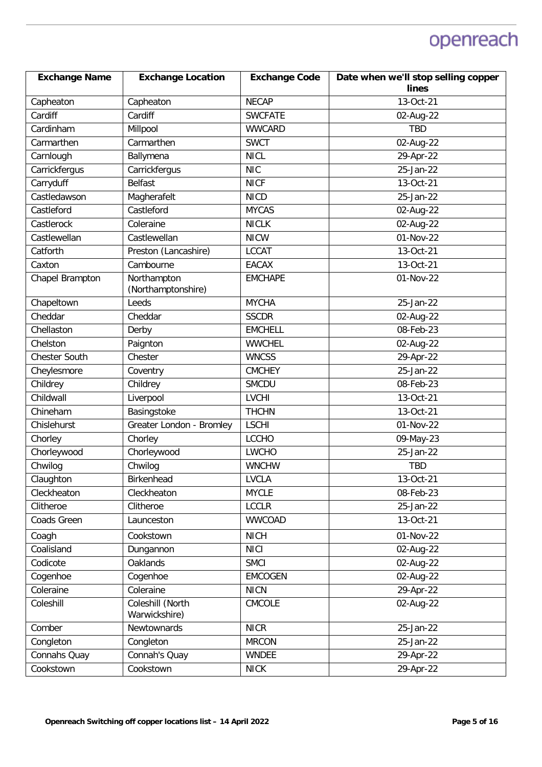| <b>Exchange Name</b> | <b>Exchange Location</b>          | <b>Exchange Code</b> | Date when we'll stop selling copper |
|----------------------|-----------------------------------|----------------------|-------------------------------------|
|                      |                                   |                      | lines                               |
| Capheaton            | Capheaton                         | <b>NECAP</b>         | 13-Oct-21                           |
| Cardiff              | Cardiff                           | <b>SWCFATE</b>       | 02-Aug-22                           |
| Cardinham            | Millpool                          | <b>WWCARD</b>        | <b>TBD</b>                          |
| Carmarthen           | Carmarthen                        | <b>SWCT</b>          | 02-Aug-22                           |
| Carnlough            | Ballymena                         | <b>NICL</b>          | 29-Apr-22                           |
| Carrickfergus        | Carrickfergus                     | <b>NIC</b>           | 25-Jan-22                           |
| Carryduff            | <b>Belfast</b>                    | <b>NICF</b>          | 13-Oct-21                           |
| Castledawson         | Magherafelt                       | <b>NICD</b>          | 25-Jan-22                           |
| Castleford           | Castleford                        | <b>MYCAS</b>         | 02-Aug-22                           |
| Castlerock           | Coleraine                         | <b>NICLK</b>         | 02-Aug-22                           |
| Castlewellan         | Castlewellan                      | <b>NICW</b>          | 01-Nov-22                           |
| Catforth             | Preston (Lancashire)              | <b>LCCAT</b>         | 13-Oct-21                           |
| Caxton               | Cambourne                         | <b>EACAX</b>         | 13-Oct-21                           |
| Chapel Brampton      | Northampton<br>(Northamptonshire) | <b>EMCHAPE</b>       | 01-Nov-22                           |
| Chapeltown           | Leeds                             | <b>MYCHA</b>         | 25-Jan-22                           |
| Cheddar              | Cheddar                           | <b>SSCDR</b>         | 02-Aug-22                           |
| Chellaston           | Derby                             | <b>EMCHELL</b>       | 08-Feb-23                           |
| Chelston             | Paignton                          | <b>WWCHEL</b>        | 02-Aug-22                           |
| Chester South        | Chester                           | <b>WNCSS</b>         | 29-Apr-22                           |
| Cheylesmore          | Coventry                          | <b>CMCHEY</b>        | 25-Jan-22                           |
| Childrey             | Childrey                          | <b>SMCDU</b>         | 08-Feb-23                           |
| Childwall            | Liverpool                         | <b>LVCHI</b>         | 13-Oct-21                           |
| Chineham             | Basingstoke                       | <b>THCHN</b>         | 13-Oct-21                           |
| Chislehurst          | Greater London - Bromley          | <b>LSCHI</b>         | 01-Nov-22                           |
| Chorley              | Chorley                           | <b>LCCHO</b>         | 09-May-23                           |
| Chorleywood          | Chorleywood                       | <b>LWCHO</b>         | $25 - Jan-22$                       |
| Chwilog              | Chwilog                           | <b>WNCHW</b>         | <b>TBD</b>                          |
| Claughton            | Birkenhead                        | <b>LVCLA</b>         | 13-Oct-21                           |
| Cleckheaton          | Cleckheaton                       | <b>MYCLE</b>         | 08-Feb-23                           |
| Clitheroe            | Clitheroe                         | <b>LCCLR</b>         | 25-Jan-22                           |
| Coads Green          | Launceston                        | <b>WWCOAD</b>        | 13-Oct-21                           |
| Coagh                | Cookstown                         | <b>NICH</b>          | $01-Nov-22$                         |
| Coalisland           | Dungannon                         | <b>NICI</b>          | 02-Aug-22                           |
| Codicote             | Oaklands                          | <b>SMCI</b>          | 02-Aug-22                           |
| Cogenhoe             | Cogenhoe                          | <b>EMCOGEN</b>       | 02-Aug-22                           |
| Coleraine            | Coleraine                         | <b>NICN</b>          | 29-Apr-22                           |
| Coleshill            | Coleshill (North<br>Warwickshire) | CMCOLE               | 02-Aug-22                           |
| Comber               | Newtownards                       | <b>NICR</b>          | 25-Jan-22                           |
| Congleton            | Congleton                         | <b>MRCON</b>         | 25-Jan-22                           |
| Connahs Quay         | Connah's Quay                     | <b>WNDEE</b>         | 29-Apr-22                           |
| Cookstown            | Cookstown                         | <b>NICK</b>          | 29-Apr-22                           |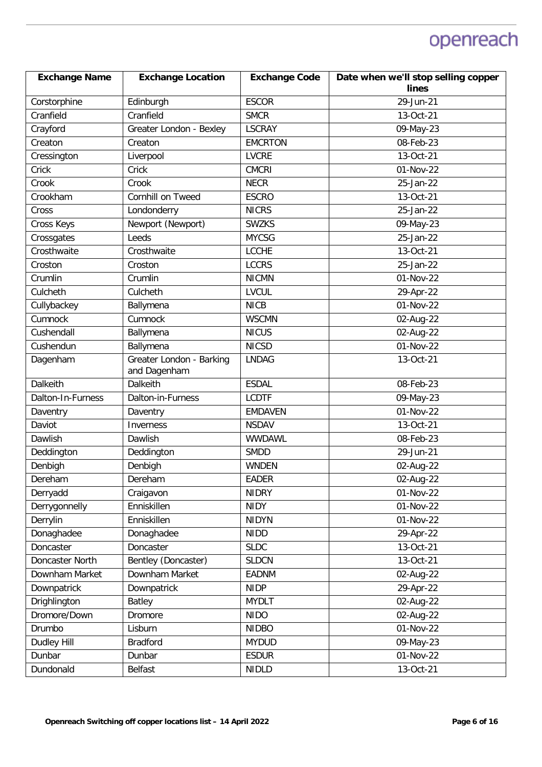| <b>Exchange Name</b> | <b>Exchange Location</b>                 | <b>Exchange Code</b> | Date when we'll stop selling copper |
|----------------------|------------------------------------------|----------------------|-------------------------------------|
|                      |                                          |                      | lines                               |
| Corstorphine         | Edinburgh                                | <b>ESCOR</b>         | 29-Jun-21                           |
| Cranfield            | Cranfield                                | <b>SMCR</b>          | 13-Oct-21                           |
| Crayford             | Greater London - Bexley                  | <b>LSCRAY</b>        | 09-May-23                           |
| Creaton              | Creaton                                  | <b>EMCRTON</b>       | 08-Feb-23                           |
| Cressington          | Liverpool                                | <b>LVCRE</b>         | 13-Oct-21                           |
| Crick                | Crick                                    | <b>CMCRI</b>         | 01-Nov-22                           |
| Crook                | Crook                                    | <b>NECR</b>          | 25-Jan-22                           |
| Crookham             | Cornhill on Tweed                        | <b>ESCRO</b>         | 13-Oct-21                           |
| Cross                | Londonderry                              | <b>NICRS</b>         | 25-Jan-22                           |
| Cross Keys           | Newport (Newport)                        | <b>SWZKS</b>         | 09-May-23                           |
| Crossgates           | Leeds                                    | <b>MYCSG</b>         | 25-Jan-22                           |
| Crosthwaite          | Crosthwaite                              | <b>LCCHE</b>         | 13-Oct-21                           |
| Croston              | Croston                                  | <b>LCCRS</b>         | 25-Jan-22                           |
| Crumlin              | Crumlin                                  | <b>NICMN</b>         | 01-Nov-22                           |
| Culcheth             | Culcheth                                 | <b>LVCUL</b>         | 29-Apr-22                           |
| Cullybackey          | Ballymena                                | <b>NICB</b>          | $01-Nov-22$                         |
| Cumnock              | Cumnock                                  | <b>WSCMN</b>         | 02-Aug-22                           |
| Cushendall           | Ballymena                                | <b>NICUS</b>         | 02-Aug-22                           |
| Cushendun            | Ballymena                                | <b>NICSD</b>         | 01-Nov-22                           |
| Dagenham             | Greater London - Barking<br>and Dagenham | <b>LNDAG</b>         | 13-Oct-21                           |
| Dalkeith             | Dalkeith                                 | <b>ESDAL</b>         | 08-Feb-23                           |
| Dalton-In-Furness    | Dalton-in-Furness                        | <b>LCDTF</b>         | 09-May-23                           |
| Daventry             | Daventry                                 | <b>EMDAVEN</b>       | 01-Nov-22                           |
| Daviot               | Inverness                                | <b>NSDAV</b>         | 13-Oct-21                           |
| Dawlish              | Dawlish                                  | <b>WWDAWL</b>        | 08-Feb-23                           |
| Deddington           | Deddington                               | <b>SMDD</b>          | 29-Jun-21                           |
| Denbigh              | Denbigh                                  | <b>WNDEN</b>         | 02-Aug-22                           |
| Dereham              | Dereham                                  | <b>EADER</b>         | 02-Aug-22                           |
| Derryadd             | Craigavon                                | <b>NIDRY</b>         | 01-Nov-22                           |
| Derrygonnelly        | Enniskillen                              | <b>NIDY</b>          | 01-Nov-22                           |
| Derrylin             | Enniskillen                              | <b>NIDYN</b>         | 01-Nov-22                           |
| Donaghadee           | Donaghadee                               | <b>NIDD</b>          | 29-Apr-22                           |
| Doncaster            | Doncaster                                | <b>SLDC</b>          | 13-Oct-21                           |
| Doncaster North      | Bentley (Doncaster)                      | <b>SLDCN</b>         | 13-Oct-21                           |
| Downham Market       | Downham Market                           | <b>EADNM</b>         | 02-Aug-22                           |
| Downpatrick          | Downpatrick                              | <b>NIDP</b>          | 29-Apr-22                           |
| Drighlington         | Batley                                   | <b>MYDLT</b>         | 02-Aug-22                           |
| Dromore/Down         | Dromore                                  | <b>NIDO</b>          | 02-Aug-22                           |
| Drumbo               | Lisburn                                  | <b>NIDBO</b>         | 01-Nov-22                           |
| Dudley Hill          | <b>Bradford</b>                          | <b>MYDUD</b>         | $\overline{0}$ 9-May-23             |
| Dunbar               | Dunbar                                   | <b>ESDUR</b>         | 01-Nov-22                           |
| Dundonald            | Belfast                                  | <b>NIDLD</b>         | 13-Oct-21                           |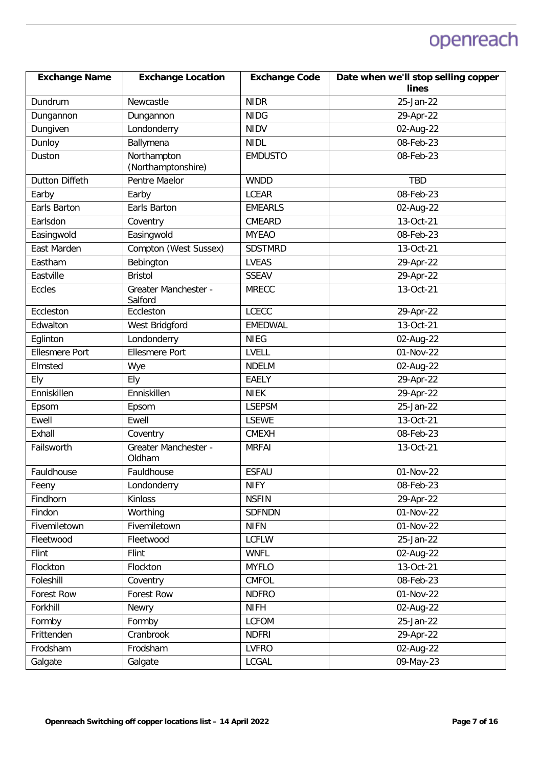| <b>Exchange Name</b>  | <b>Exchange Location</b>          | <b>Exchange Code</b> | Date when we'll stop selling copper |
|-----------------------|-----------------------------------|----------------------|-------------------------------------|
|                       |                                   |                      | lines                               |
| Dundrum               | Newcastle                         | <b>NIDR</b>          | 25-Jan-22                           |
| Dungannon             | Dungannon                         | <b>NIDG</b>          | 29-Apr-22                           |
| Dungiven              | Londonderry                       | <b>NIDV</b>          | $\overline{0}$ 2-Aug-22             |
| Dunloy                | Ballymena                         | <b>NIDL</b>          | 08-Feb-23                           |
| Duston                | Northampton<br>(Northamptonshire) | <b>EMDUSTO</b>       | 08-Feb-23                           |
| <b>Dutton Diffeth</b> | Pentre Maelor                     | <b>WNDD</b>          | <b>TBD</b>                          |
| Earby                 | Earby                             | <b>LCEAR</b>         | 08-Feb-23                           |
| Earls Barton          | Earls Barton                      | <b>EMEARLS</b>       | 02-Aug-22                           |
| Earlsdon              | Coventry                          | CMEARD               | 13-Oct-21                           |
| Easingwold            | Easingwold                        | <b>MYEAO</b>         | 08-Feb-23                           |
| East Marden           | Compton (West Sussex)             | <b>SDSTMRD</b>       | 13-Oct-21                           |
| Eastham               | Bebington                         | <b>LVEAS</b>         | 29-Apr-22                           |
| Eastville             | <b>Bristol</b>                    | <b>SSEAV</b>         | 29-Apr-22                           |
| Eccles                | Greater Manchester -<br>Salford   | <b>MRECC</b>         | 13-Oct-21                           |
| Eccleston             | Eccleston                         | <b>LCECC</b>         | 29-Apr-22                           |
| Edwalton              | West Bridgford                    | <b>EMEDWAL</b>       | 13-Oct-21                           |
| Eglinton              | Londonderry                       | <b>NIEG</b>          | 02-Aug-22                           |
| <b>Ellesmere Port</b> | <b>Ellesmere Port</b>             | LVELL                | 01-Nov-22                           |
| Elmsted               | Wye                               | <b>NDELM</b>         | 02-Aug-22                           |
| Ely                   | Ely                               | <b>EAELY</b>         | 29-Apr-22                           |
| Enniskillen           | Enniskillen                       | <b>NIEK</b>          | 29-Apr-22                           |
| Epsom                 | Epsom                             | <b>LSEPSM</b>        | 25-Jan-22                           |
| Ewell                 | Ewell                             | <b>LSEWE</b>         | 13-Oct-21                           |
| Exhall                | Coventry                          | <b>CMEXH</b>         | 08-Feb-23                           |
| Failsworth            | Greater Manchester -<br>Oldham    | <b>MRFAI</b>         | 13-Oct-21                           |
| Fauldhouse            | Fauldhouse                        | <b>ESFAU</b>         | 01-Nov-22                           |
| Feeny                 | Londonderry                       | <b>NIFY</b>          | 08-Feb-23                           |
| Findhorn              | Kinloss                           | <b>NSFIN</b>         | 29-Apr-22                           |
| Findon                | Worthing                          | <b>SDFNDN</b>        | 01-Nov-22                           |
| Fivemiletown          | Fivemiletown                      | <b>NIFN</b>          | 01-Nov-22                           |
| Fleetwood             | Fleetwood                         | <b>LCFLW</b>         | 25-Jan-22                           |
| Flint                 | Flint                             | <b>WNFL</b>          | 02-Aug-22                           |
| Flockton              | Flockton                          | <b>MYFLO</b>         | 13-Oct-21                           |
| Foleshill             | Coventry                          | <b>CMFOL</b>         | 08-Feb-23                           |
| Forest Row            | Forest Row                        | <b>NDFRO</b>         | 01-Nov-22                           |
| Forkhill              | Newry                             | <b>NIFH</b>          | 02-Aug-22                           |
| Formby                | Formby                            | <b>LCFOM</b>         | 25-Jan-22                           |
| Frittenden            | Cranbrook                         | <b>NDFRI</b>         | 29-Apr-22                           |
| Frodsham              | Frodsham                          | <b>LVFRO</b>         | 02-Aug-22                           |
| Galgate               | Galgate                           | <b>LCGAL</b>         | 09-May-23                           |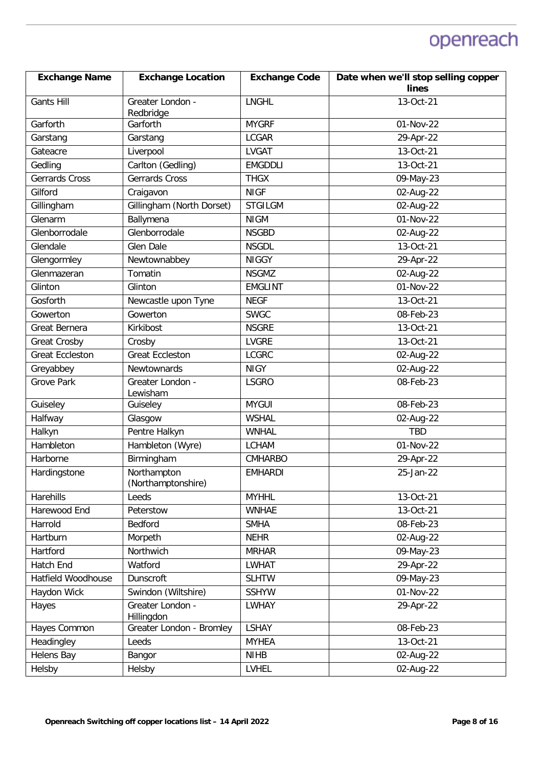| <b>Exchange Name</b>   | <b>Exchange Location</b>          | <b>Exchange Code</b> | Date when we'll stop selling copper |
|------------------------|-----------------------------------|----------------------|-------------------------------------|
|                        |                                   |                      | lines                               |
| <b>Gants Hill</b>      | Greater London -<br>Redbridge     | <b>LNGHL</b>         | 13-Oct-21                           |
| Garforth               | Garforth                          | <b>MYGRF</b>         | 01-Nov-22                           |
| Garstang               | Garstang                          | <b>LCGAR</b>         | 29-Apr-22                           |
| Gateacre               | Liverpool                         | <b>LVGAT</b>         | 13-Oct-21                           |
| Gedling                | Carlton (Gedling)                 | <b>EMGDDLI</b>       | 13-Oct-21                           |
| <b>Gerrards Cross</b>  | Gerrards Cross                    | <b>THGX</b>          | 09-May-23                           |
| Gilford                | Craigavon                         | <b>NIGF</b>          | 02-Aug-22                           |
| Gillingham             | Gillingham (North Dorset)         | <b>STGILGM</b>       | 02-Aug-22                           |
| Glenarm                | Ballymena                         | <b>NIGM</b>          | 01-Nov-22                           |
| Glenborrodale          | Glenborrodale                     | <b>NSGBD</b>         | 02-Aug-22                           |
| Glendale               | Glen Dale                         | <b>NSGDL</b>         | 13-Oct-21                           |
| Glengormley            | Newtownabbey                      | <b>NIGGY</b>         | 29-Apr-22                           |
| Glenmazeran            | Tomatin                           | <b>NSGMZ</b>         | 02-Aug-22                           |
| Glinton                | Glinton                           | <b>EMGLINT</b>       | 01-Nov-22                           |
| Gosforth               | Newcastle upon Tyne               | <b>NEGF</b>          | 13-Oct-21                           |
| Gowerton               | Gowerton                          | <b>SWGC</b>          | 08-Feb-23                           |
| Great Bernera          | Kirkibost                         | <b>NSGRE</b>         | 13-Oct-21                           |
| <b>Great Crosby</b>    | Crosby                            | <b>LVGRE</b>         | 13-Oct-21                           |
| <b>Great Eccleston</b> | <b>Great Eccleston</b>            | <b>LCGRC</b>         | 02-Aug-22                           |
| Greyabbey              | Newtownards                       | <b>NIGY</b>          | 02-Aug-22                           |
| <b>Grove Park</b>      | Greater London -<br>Lewisham      | <b>LSGRO</b>         | 08-Feb-23                           |
| Guiseley               | Guiseley                          | <b>MYGUI</b>         | 08-Feb-23                           |
| Halfway                | Glasgow                           | <b>WSHAL</b>         | 02-Aug-22                           |
| Halkyn                 | Pentre Halkyn                     | <b>WNHAL</b>         | <b>TBD</b>                          |
| Hambleton              | Hambleton (Wyre)                  | <b>LCHAM</b>         | 01-Nov-22                           |
| Harborne               | Birmingham                        | <b>CMHARBO</b>       | 29-Apr-22                           |
| Hardingstone           | Northampton<br>(Northamptonshire) | <b>EMHARDI</b>       | 25-Jan-22                           |
| Harehills              | Leeds                             | <b>MYHHL</b>         | 13-Oct-21                           |
| Harewood End           | Peterstow                         | <b>WNHAE</b>         | 13-Oct-21                           |
| Harrold                | Bedford                           | <b>SMHA</b>          | 08-Feb-23                           |
| Hartburn               | Morpeth                           | <b>NEHR</b>          | 02-Aug-22                           |
| Hartford               | Northwich                         | <b>MRHAR</b>         | 09-May-23                           |
| Hatch End              | Watford                           | <b>LWHAT</b>         | 29-Apr-22                           |
| Hatfield Woodhouse     | Dunscroft                         | <b>SLHTW</b>         | 09-May-23                           |
| Haydon Wick            | Swindon (Wiltshire)               | <b>SSHYW</b>         | 01-Nov-22                           |
| Hayes                  | Greater London -<br>Hillingdon    | <b>LWHAY</b>         | 29-Apr-22                           |
| Hayes Common           | Greater London - Bromley          | <b>LSHAY</b>         | 08-Feb-23                           |
| Headingley             | Leeds                             | <b>MYHEA</b>         | 13-Oct-21                           |
| <b>Helens Bay</b>      | Bangor                            | <b>NIHB</b>          | 02-Aug-22                           |
| Helsby                 | Helsby                            | <b>LVHEL</b>         | 02-Aug-22                           |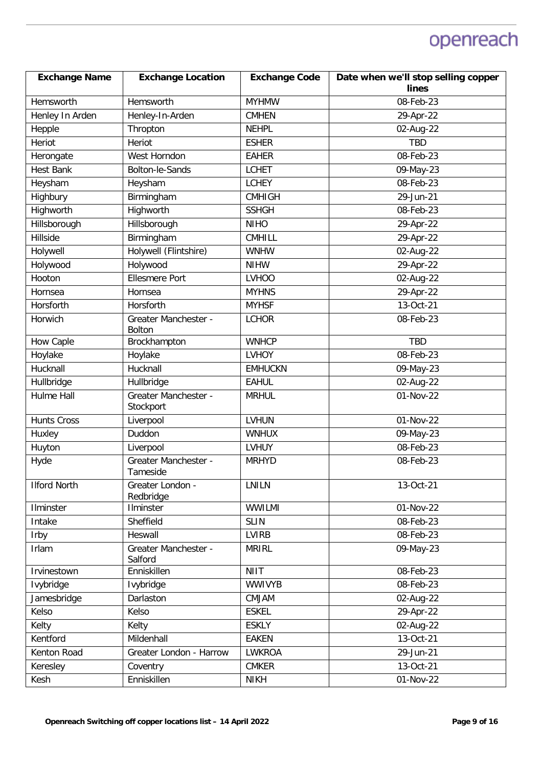| <b>Exchange Name</b> | <b>Exchange Location</b>              | <b>Exchange Code</b>         | Date when we'll stop selling copper |
|----------------------|---------------------------------------|------------------------------|-------------------------------------|
|                      |                                       |                              | lines                               |
| Hemsworth            | Hemsworth                             | <b>MYHMW</b>                 | 08-Feb-23                           |
| Henley In Arden      | Henley-In-Arden                       | <b>CMHEN</b><br><b>NEHPL</b> | 29-Apr-22                           |
| Hepple               | Thropton                              |                              | 02-Aug-22                           |
| Heriot               | Heriot                                | <b>ESHER</b>                 | <b>TBD</b>                          |
| Herongate            | West Horndon                          | <b>EAHER</b>                 | 08-Feb-23                           |
| <b>Hest Bank</b>     | Bolton-le-Sands                       | <b>LCHET</b>                 | 09-May-23                           |
| Heysham              | Heysham                               | <b>LCHEY</b>                 | 08-Feb-23                           |
| Highbury             | Birmingham                            | <b>CMHIGH</b>                | 29-Jun-21                           |
| Highworth            | Highworth                             | <b>SSHGH</b>                 | 08-Feb-23                           |
| Hillsborough         | Hillsborough                          | <b>NIHO</b>                  | 29-Apr-22                           |
| Hillside             | Birmingham                            | <b>CMHILL</b>                | 29-Apr-22                           |
| Holywell             | Holywell (Flintshire)                 | <b>WNHW</b>                  | 02-Aug-22                           |
| Holywood             | Holywood                              | <b>NIHW</b>                  | 29-Apr-22                           |
| Hooton               | <b>Ellesmere Port</b>                 | <b>LVHOO</b>                 | 02-Aug-22                           |
| Hornsea              | Hornsea                               | <b>MYHNS</b>                 | 29-Apr-22                           |
| Horsforth            | Horsforth                             | <b>MYHSF</b>                 | 13-Oct-21                           |
| Horwich              | Greater Manchester -<br><b>Bolton</b> | <b>LCHOR</b>                 | 08-Feb-23                           |
| How Caple            | Brockhampton                          | <b>WNHCP</b>                 | <b>TBD</b>                          |
| Hoylake              | Hoylake                               | <b>LVHOY</b>                 | 08-Feb-23                           |
| Hucknall             | Hucknall                              | <b>EMHUCKN</b>               | 09-May-23                           |
| Hullbridge           | Hullbridge                            | <b>EAHUL</b>                 | 02-Aug-22                           |
| <b>Hulme Hall</b>    | Greater Manchester -<br>Stockport     | <b>MRHUL</b>                 | 01-Nov-22                           |
| <b>Hunts Cross</b>   | Liverpool                             | <b>LVHUN</b>                 | 01-Nov-22                           |
| Huxley               | Duddon                                | <b>WNHUX</b>                 | 09-May-23                           |
| Huyton               | Liverpool                             | <b>LVHUY</b>                 | 08-Feb-23                           |
| Hyde                 | Greater Manchester -<br>Tameside      | <b>MRHYD</b>                 | 08-Feb-23                           |
| <b>Ilford North</b>  | Greater London -<br>Redbridge         | LNILN                        | 13-Oct-21                           |
| Ilminster            | Ilminster                             | <b>WWILMI</b>                | 01-Nov-22                           |
| Intake               | Sheffield                             | <b>SLIN</b>                  | 08-Feb-23                           |
| Irby                 | Heswall                               | <b>LVIRB</b>                 | 08-Feb-23                           |
| Irlam                | Greater Manchester -<br>Salford       | <b>MRIRL</b>                 | 09-May-23                           |
| Irvinestown          | Enniskillen                           | <b>NIIT</b>                  | 08-Feb-23                           |
| Ivybridge            | Ivybridge                             | <b>WWIVYB</b>                | 08-Feb-23                           |
| Jamesbridge          | Darlaston                             | <b>CMJAM</b>                 | 02-Aug-22                           |
| Kelso                | Kelso                                 | <b>ESKEL</b>                 | 29-Apr-22                           |
| Kelty                | Kelty                                 | <b>ESKLY</b>                 | 02-Aug-22                           |
| Kentford             | Mildenhall                            | <b>EAKEN</b>                 | 13-Oct-21                           |
| Kenton Road          | Greater London - Harrow               | <b>LWKROA</b>                | 29-Jun-21                           |
| Keresley             | Coventry                              | <b>CMKER</b>                 | 13-Oct-21                           |
| Kesh                 | Enniskillen                           | <b>NIKH</b>                  | 01-Nov-22                           |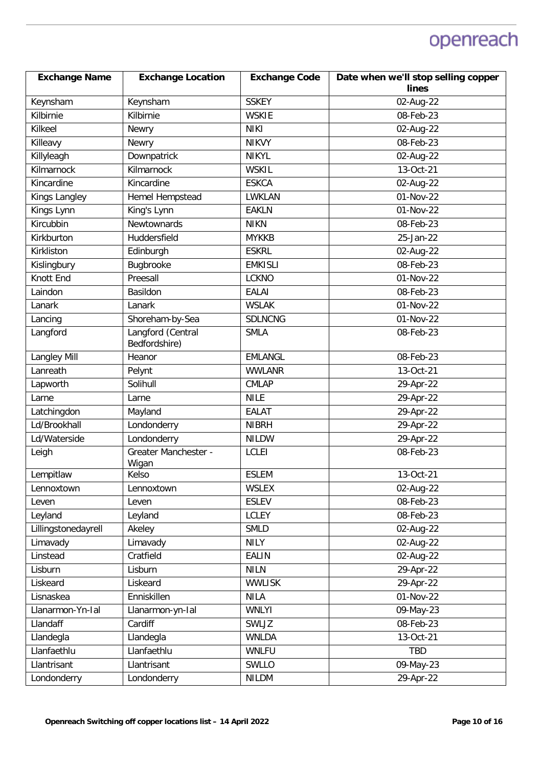| <b>Exchange Name</b> | <b>Exchange Location</b>      | <b>Exchange Code</b> | Date when we'll stop selling copper |
|----------------------|-------------------------------|----------------------|-------------------------------------|
|                      |                               |                      | lines                               |
| Keynsham             | Keynsham                      | <b>SSKEY</b>         | 02-Aug-22                           |
| Kilbirnie            | Kilbirnie                     | <b>WSKIE</b>         | 08-Feb-23                           |
| Kilkeel              | Newry                         | <b>NIKI</b>          | 02-Aug-22                           |
| Killeavy             | Newry                         | <b>NIKVY</b>         | 08-Feb-23                           |
| Killyleagh           | Downpatrick                   | <b>NIKYL</b>         | 02-Aug-22                           |
| Kilmarnock           | Kilmarnock                    | <b>WSKIL</b>         | 13-Oct-21                           |
| Kincardine           | Kincardine                    | <b>ESKCA</b>         | 02-Aug-22                           |
| Kings Langley        | Hemel Hempstead               | LWKLAN               | 01-Nov-22                           |
| Kings Lynn           | King's Lynn                   | <b>EAKLN</b>         | 01-Nov-22                           |
| Kircubbin            | Newtownards                   | <b>NIKN</b>          | 08-Feb-23                           |
| Kirkburton           | Huddersfield                  | <b>MYKKB</b>         | 25-Jan-22                           |
| Kirkliston           | Edinburgh                     | <b>ESKRL</b>         | 02-Aug-22                           |
| Kislingbury          | Bugbrooke                     | <b>EMKISLI</b>       | 08-Feb-23                           |
| Knott End            | Preesall                      | <b>LCKNO</b>         | 01-Nov-22                           |
| Laindon              | Basildon                      | <b>EALAI</b>         | 08-Feb-23                           |
| Lanark               | Lanark                        | <b>WSLAK</b>         | 01-Nov-22                           |
| Lancing              | Shoreham-by-Sea               | <b>SDLNCNG</b>       | 01-Nov-22                           |
| Langford             | Langford (Central             | <b>SMLA</b>          | 08-Feb-23                           |
|                      | Bedfordshire)                 |                      |                                     |
| <b>Langley Mill</b>  | Heanor                        | <b>EMLANGL</b>       | 08-Feb-23                           |
| Lanreath             | Pelynt                        | <b>WWLANR</b>        | 13-Oct-21                           |
| Lapworth             | Solihull                      | <b>CMLAP</b>         | 29-Apr-22                           |
| Larne                | Larne                         | <b>NILE</b>          | 29-Apr-22                           |
| Latchingdon          | Mayland                       | <b>EALAT</b>         | 29-Apr-22                           |
| Ld/Brookhall         | Londonderry                   | <b>NIBRH</b>         | 29-Apr-22                           |
| Ld/Waterside         | Londonderry                   | <b>NILDW</b>         | 29-Apr-22                           |
| Leigh                | Greater Manchester -<br>Wigan | <b>LCLEI</b>         | 08-Feb-23                           |
| Lempitlaw            | Kelso                         | <b>ESLEM</b>         | 13-Oct-21                           |
| Lennoxtown           | Lennoxtown                    | WSLEX                | 02-Aug-22                           |
| Leven                | Leven                         | <b>ESLEV</b>         | 08-Feb-23                           |
| Leyland              | Leyland                       | <b>LCLEY</b>         | 08-Feb-23                           |
| Lillingstonedayrell  | Akeley                        | <b>SMLD</b>          | 02-Aug-22                           |
| Limavady             | Limavady                      | <b>NILY</b>          | 02-Aug-22                           |
| Linstead             | Cratfield                     | <b>EALIN</b>         | 02-Aug-22                           |
| Lisburn              | Lisburn                       | <b>NILN</b>          | 29-Apr-22                           |
| Liskeard             | Liskeard                      | <b>WWLISK</b>        | 29-Apr-22                           |
| Lisnaskea            | Enniskillen                   | <b>NILA</b>          | 01-Nov-22                           |
| Llanarmon-Yn-Ial     | Llanarmon-yn-Ial              | <b>WNLYI</b>         | 09-May-23                           |
| Llandaff             | Cardiff                       | SWLJZ                | 08-Feb-23                           |
| Llandegla            | Llandegla                     | <b>WNLDA</b>         | 13-Oct-21                           |
| Llanfaethlu          | Llanfaethlu                   | <b>WNLFU</b>         | TBD                                 |
| Llantrisant          | Llantrisant                   | SWLLO                | 09-May-23                           |
| Londonderry          | Londonderry                   | <b>NILDM</b>         | 29-Apr-22                           |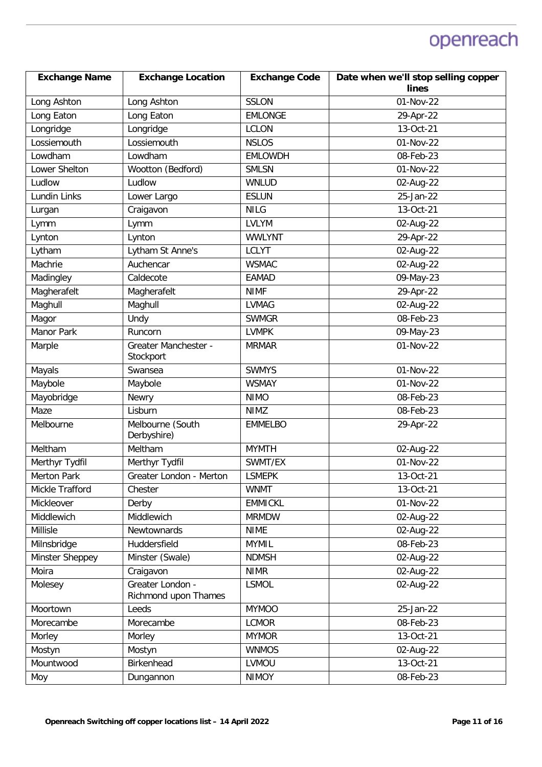| <b>Exchange Name</b> | <b>Exchange Location</b>                 | <b>Exchange Code</b> | Date when we'll stop selling copper |
|----------------------|------------------------------------------|----------------------|-------------------------------------|
|                      |                                          |                      | lines                               |
| Long Ashton          | Long Ashton                              | <b>SSLON</b>         | 01-Nov-22                           |
| Long Eaton           | Long Eaton                               | <b>EMLONGE</b>       | 29-Apr-22                           |
| Longridge            | Longridge                                | <b>LCLON</b>         | 13-Oct-21                           |
| Lossiemouth          | Lossiemouth                              | <b>NSLOS</b>         | 01-Nov-22                           |
| Lowdham              | Lowdham                                  | <b>EMLOWDH</b>       | 08-Feb-23                           |
| Lower Shelton        | Wootton (Bedford)                        | <b>SMLSN</b>         | 01-Nov-22                           |
| Ludlow               | Ludlow                                   | <b>WNLUD</b>         | 02-Aug-22                           |
| Lundin Links         | Lower Largo                              | <b>ESLUN</b>         | 25-Jan-22                           |
| Lurgan               | Craigavon                                | <b>NILG</b>          | 13-Oct-21                           |
| Lymm                 | Lymm                                     | <b>LVLYM</b>         | 02-Aug-22                           |
| Lynton               | Lynton                                   | <b>WWLYNT</b>        | 29-Apr-22                           |
| Lytham               | Lytham St Anne's                         | <b>LCLYT</b>         | 02-Aug-22                           |
| Machrie              | Auchencar                                | <b>WSMAC</b>         | 02-Aug-22                           |
| Madingley            | Caldecote                                | <b>EAMAD</b>         | 09-May-23                           |
| Magherafelt          | Magherafelt                              | <b>NIMF</b>          | 29-Apr-22                           |
| Maghull              | Maghull                                  | <b>LVMAG</b>         | 02-Aug-22                           |
| Magor                | Undy                                     | <b>SWMGR</b>         | 08-Feb-23                           |
| Manor Park           | Runcorn                                  | <b>LVMPK</b>         | 09-May-23                           |
| Marple               | Greater Manchester -<br>Stockport        | <b>MRMAR</b>         | 01-Nov-22                           |
| Mayals               | Swansea                                  | <b>SWMYS</b>         | 01-Nov-22                           |
| Maybole              | Maybole                                  | <b>WSMAY</b>         | 01-Nov-22                           |
| Mayobridge           | Newry                                    | <b>NIMO</b>          | 08-Feb-23                           |
| Maze                 | Lisburn                                  | <b>NIMZ</b>          | 08-Feb-23                           |
| Melbourne            | Melbourne (South<br>Derbyshire)          | <b>EMMELBO</b>       | 29-Apr-22                           |
| Meltham              | Meltham                                  | <b>MYMTH</b>         | 02-Aug-22                           |
| Merthyr Tydfil       | Merthyr Tydfil                           | SWMT/EX              | 01-Nov-22                           |
| Merton Park          | Greater London - Merton                  | <b>LSMEPK</b>        | 13-Oct-21                           |
| Mickle Trafford      | Chester                                  | <b>WNMT</b>          | 13-Oct-21                           |
| Mickleover           | Derby                                    | <b>EMMICKL</b>       | 01-Nov-22                           |
| Middlewich           | Middlewich                               | <b>MRMDW</b>         | 02-Aug-22                           |
| Millisle             | Newtownards                              | <b>NIME</b>          | 02-Aug-22                           |
| Milnsbridge          | Huddersfield                             | <b>MYMIL</b>         | 08-Feb-23                           |
| Minster Sheppey      | Minster (Swale)                          | <b>NDMSH</b>         | 02-Aug-22                           |
| Moira                | Craigavon                                | <b>NIMR</b>          | 02-Aug-22                           |
| Molesey              | Greater London -<br>Richmond upon Thames | <b>LSMOL</b>         | 02-Aug-22                           |
| Moortown             | Leeds                                    | <b>MYMOO</b>         | 25-Jan-22                           |
| Morecambe            | Morecambe                                | <b>LCMOR</b>         | 08-Feb-23                           |
| Morley               | Morley                                   | <b>MYMOR</b>         | 13-Oct-21                           |
| Mostyn               | Mostyn                                   | <b>WNMOS</b>         | 02-Aug-22                           |
| Mountwood            | Birkenhead                               | LVMOU                | 13-Oct-21                           |
| Moy                  | Dungannon                                | <b>NIMOY</b>         | 08-Feb-23                           |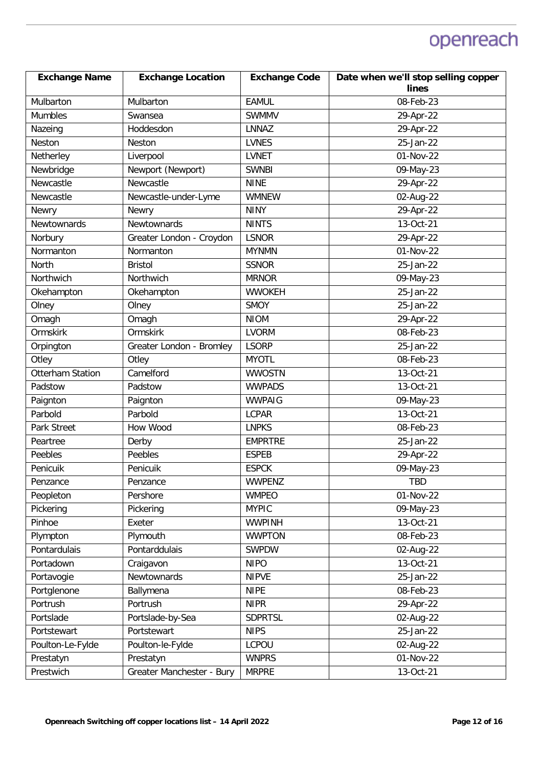| <b>Exchange Name</b>    | <b>Exchange Location</b>  | <b>Exchange Code</b> | Date when we'll stop selling copper |
|-------------------------|---------------------------|----------------------|-------------------------------------|
|                         |                           |                      | lines                               |
| Mulbarton               | Mulbarton                 | <b>EAMUL</b>         | 08-Feb-23                           |
| Mumbles                 | Swansea                   | <b>SWMMV</b>         | 29-Apr-22                           |
| Nazeing                 | Hoddesdon                 | <b>LNNAZ</b>         | 29-Apr-22                           |
| Neston                  | Neston                    | <b>LVNES</b>         | 25-Jan-22                           |
| Netherley               | Liverpool                 | <b>LVNET</b>         | 01-Nov-22                           |
| Newbridge               | Newport (Newport)         | <b>SWNBI</b>         | 09-May-23                           |
| Newcastle               | Newcastle                 | <b>NINE</b>          | 29-Apr-22                           |
| Newcastle               | Newcastle-under-Lyme      | <b>WMNEW</b>         | 02-Aug-22                           |
| Newry                   | Newry                     | <b>NINY</b>          | 29-Apr-22                           |
| Newtownards             | Newtownards               | <b>NINTS</b>         | 13-Oct-21                           |
| Norbury                 | Greater London - Croydon  | <b>LSNOR</b>         | 29-Apr-22                           |
| Normanton               | Normanton                 | <b>MYNMN</b>         | 01-Nov-22                           |
| North                   | <b>Bristol</b>            | <b>SSNOR</b>         | 25-Jan-22                           |
| Northwich               | Northwich                 | <b>MRNOR</b>         | 09-May-23                           |
| Okehampton              | Okehampton                | <b>WWOKEH</b>        | 25-Jan-22                           |
| Olney                   | Olney                     | <b>SMOY</b>          | 25-Jan-22                           |
| Omagh                   | Omagh                     | <b>NIOM</b>          | 29-Apr-22                           |
| Ormskirk                | Ormskirk                  | <b>LVORM</b>         | 08-Feb-23                           |
| Orpington               | Greater London - Bromley  | <b>LSORP</b>         | 25-Jan-22                           |
| Otley                   | Otley                     | <b>MYOTL</b>         | 08-Feb-23                           |
| <b>Otterham Station</b> | Camelford                 | <b>WWOSTN</b>        | 13-Oct-21                           |
| Padstow                 | Padstow                   | <b>WWPADS</b>        | 13-Oct-21                           |
| Paignton                | Paignton                  | <b>WWPAIG</b>        | 09-May-23                           |
| Parbold                 | Parbold                   | <b>LCPAR</b>         | 13-Oct-21                           |
| Park Street             | How Wood                  | <b>LNPKS</b>         | 08-Feb-23                           |
| Peartree                | Derby                     | <b>EMPRTRE</b>       | 25-Jan-22                           |
| Peebles                 | Peebles                   | <b>ESPEB</b>         | 29-Apr-22                           |
| Penicuik                | Penicuik                  | <b>ESPCK</b>         | 09-May-23                           |
| Penzance                | Penzance                  | WWPENZ               | TBD                                 |
| Peopleton               | Pershore                  | <b>WMPEO</b>         | 01-Nov-22                           |
| Pickering               | Pickering                 | <b>MYPIC</b>         | $\overline{0}$ 9-May-23             |
| Pinhoe                  | Exeter                    | <b>WWPINH</b>        | 13-Oct-21                           |
| Plympton                | Plymouth                  | <b>WWPTON</b>        | 08-Feb-23                           |
| Pontardulais            | Pontarddulais             | SWPDW                | 02-Aug-22                           |
| Portadown               | Craigavon                 | <b>NIPO</b>          | 13-Oct-21                           |
| Portavogie              | Newtownards               | <b>NIPVE</b>         | 25-Jan-22                           |
| Portglenone             | Ballymena                 | <b>NIPE</b>          | 08-Feb-23                           |
| Portrush                | Portrush                  | <b>NIPR</b>          | 29-Apr-22                           |
| Portslade               | Portslade-by-Sea          | <b>SDPRTSL</b>       | 02-Aug-22                           |
| Portstewart             | Portstewart               | <b>NIPS</b>          | 25-Jan-22                           |
| Poulton-Le-Fylde        | Poulton-le-Fylde          | LCPOU                | 02-Aug-22                           |
| Prestatyn               | Prestatyn                 | <b>WNPRS</b>         | 01-Nov-22                           |
| Prestwich               | Greater Manchester - Bury | <b>MRPRE</b>         | 13-Oct-21                           |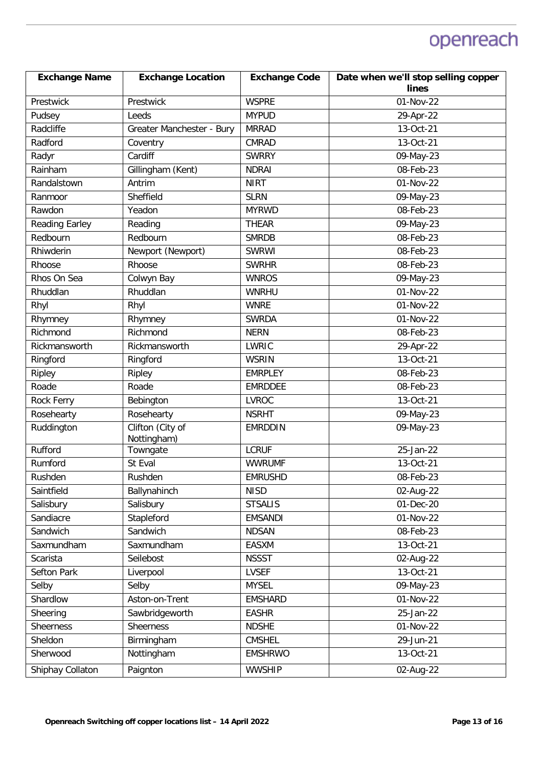| <b>Exchange Name</b>  | <b>Exchange Location</b>        | <b>Exchange Code</b> | Date when we'll stop selling copper |
|-----------------------|---------------------------------|----------------------|-------------------------------------|
|                       |                                 |                      | lines                               |
| Prestwick             | Prestwick                       | <b>WSPRE</b>         | 01-Nov-22                           |
| Pudsey                | Leeds                           | <b>MYPUD</b>         | 29-Apr-22                           |
| Radcliffe             | Greater Manchester - Bury       | <b>MRRAD</b>         | 13-Oct-21                           |
| Radford               | Coventry                        | <b>CMRAD</b>         | 13-Oct-21                           |
| Radyr                 | Cardiff                         | <b>SWRRY</b>         | 09-May-23                           |
| Rainham               | Gillingham (Kent)               | <b>NDRAI</b>         | 08-Feb-23                           |
| Randalstown           | Antrim                          | <b>NIRT</b>          | 01-Nov-22                           |
| Ranmoor               | Sheffield                       | <b>SLRN</b>          | 09-May-23                           |
| Rawdon                | Yeadon                          | <b>MYRWD</b>         | 08-Feb-23                           |
| <b>Reading Earley</b> | Reading                         | <b>THEAR</b>         | 09-May-23                           |
| Redbourn              | Redbourn                        | <b>SMRDB</b>         | 08-Feb-23                           |
| Rhiwderin             | Newport (Newport)               | <b>SWRWI</b>         | 08-Feb-23                           |
| Rhoose                | Rhoose                          | <b>SWRHR</b>         | 08-Feb-23                           |
| Rhos On Sea           | Colwyn Bay                      | <b>WNROS</b>         | 09-May-23                           |
| Rhuddlan              | Rhuddlan                        | <b>WNRHU</b>         | 01-Nov-22                           |
| Rhyl                  | Rhyl                            | <b>WNRE</b>          | 01-Nov-22                           |
| Rhymney               | Rhymney                         | <b>SWRDA</b>         | 01-Nov-22                           |
| Richmond              | Richmond                        | <b>NERN</b>          | 08-Feb-23                           |
| Rickmansworth         | Rickmansworth                   | LWRIC                | 29-Apr-22                           |
| Ringford              | Ringford                        | <b>WSRIN</b>         | 13-Oct-21                           |
| Ripley                | Ripley                          | <b>EMRPLEY</b>       | 08-Feb-23                           |
| Roade                 | Roade                           | <b>EMRDDEE</b>       | 08-Feb-23                           |
| Rock Ferry            | Bebington                       | <b>LVROC</b>         | 13-Oct-21                           |
| Rosehearty            | Rosehearty                      | <b>NSRHT</b>         | 09-May-23                           |
| Ruddington            | Clifton (City of<br>Nottingham) | <b>EMRDDIN</b>       | 09-May-23                           |
| Rufford               | Towngate                        | <b>LCRUF</b>         | 25-Jan-22                           |
| Rumford               | St Eval                         | <b>WWRUMF</b>        | 13-Oct-21                           |
| Rushden               | Rushden                         | <b>EMRUSHD</b>       | 08-Feb-23                           |
| Saintfield            | Ballynahinch                    | <b>NISD</b>          | 02-Aug-22                           |
| Salisbury             | Salisbury                       | <b>STSALIS</b>       | 01-Dec-20                           |
| Sandiacre             | Stapleford                      | <b>EMSANDI</b>       | 01-Nov-22                           |
| Sandwich              | Sandwich                        | <b>NDSAN</b>         | 08-Feb-23                           |
| Saxmundham            | Saxmundham                      | <b>EASXM</b>         | 13-Oct-21                           |
| Scarista              | Seilebost                       | <b>NSSST</b>         | 02-Aug-22                           |
| Sefton Park           | Liverpool                       | <b>LVSEF</b>         | 13-Oct-21                           |
| Selby                 | Selby                           | <b>MYSEL</b>         | 09-May-23                           |
| Shardlow              | Aston-on-Trent                  | <b>EMSHARD</b>       | 01-Nov-22                           |
| Sheering              | Sawbridgeworth                  | <b>EASHR</b>         | 25-Jan-22                           |
| Sheerness             | Sheerness                       | <b>NDSHE</b>         | 01-Nov-22                           |
| Sheldon               | Birmingham                      | <b>CMSHEL</b>        | 29-Jun-21                           |
| Sherwood              | Nottingham                      | <b>EMSHRWO</b>       | 13-Oct-21                           |
| Shiphay Collaton      | Paignton                        | <b>WWSHIP</b>        | 02-Aug-22                           |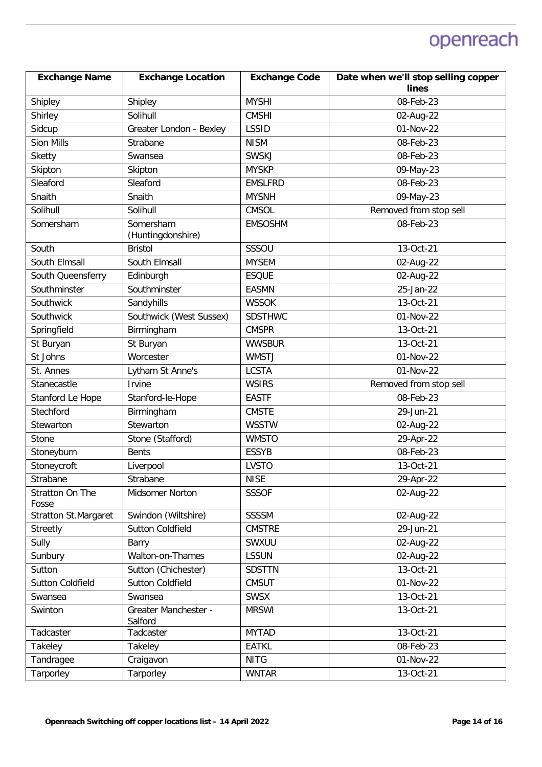| <b>Exchange Name</b>        | <b>Exchange Location</b>        | <b>Exchange Code</b> | Date when we'll stop selling copper |
|-----------------------------|---------------------------------|----------------------|-------------------------------------|
|                             |                                 |                      | lines                               |
| Shipley                     | Shipley                         | <b>MYSHI</b>         | 08-Feb-23                           |
| Shirley                     | Solihull                        | <b>CMSHI</b>         | 02-Aug-22                           |
| Sidcup                      | Greater London - Bexley         | <b>LSSID</b>         | 01-Nov-22                           |
| Sion Mills                  | Strabane                        | <b>NISM</b>          | 08-Feb-23                           |
| <b>Sketty</b>               | Swansea                         | <b>SWSKJ</b>         | 08-Feb-23                           |
| Skipton                     | Skipton                         | <b>MYSKP</b>         | 09-May-23                           |
| Sleaford                    | Sleaford                        | <b>EMSLFRD</b>       | 08-Feb-23                           |
| Snaith                      | Snaith                          | <b>MYSNH</b>         | 09-May-23                           |
| Solihull                    | Solihull                        | <b>CMSOL</b>         | Removed from stop sell              |
| Somersham                   | Somersham<br>(Huntingdonshire)  | <b>EMSOSHM</b>       | 08-Feb-23                           |
| South                       | <b>Bristol</b>                  | SSSOU                | 13-Oct-21                           |
| South Elmsall               | South Elmsall                   | <b>MYSEM</b>         | 02-Aug-22                           |
| South Queensferry           | Edinburgh                       | <b>ESQUE</b>         | 02-Aug-22                           |
| Southminster                | Southminster                    | <b>EASMN</b>         | 25-Jan-22                           |
| Southwick                   | Sandyhills                      | <b>WSSOK</b>         | $13-Oct-21$                         |
| Southwick                   | Southwick (West Sussex)         | <b>SDSTHWC</b>       | 01-Nov-22                           |
| Springfield                 | Birmingham                      | <b>CMSPR</b>         | 13-Oct-21                           |
| St Buryan                   | St Buryan                       | <b>WWSBUR</b>        | 13-Oct-21                           |
| St Johns                    | Worcester                       | <b>WMSTJ</b>         | 01-Nov-22                           |
| St. Annes                   | Lytham St Anne's                | <b>LCSTA</b>         | 01-Nov-22                           |
| Stanecastle                 | Irvine                          | <b>WSIRS</b>         | Removed from stop sell              |
| Stanford Le Hope            | Stanford-le-Hope                | <b>EASTF</b>         | 08-Feb-23                           |
| Stechford                   | Birmingham                      | <b>CMSTE</b>         | 29-Jun-21                           |
| Stewarton                   | Stewarton                       | <b>WSSTW</b>         | 02-Aug-22                           |
| Stone                       | Stone (Stafford)                | <b>WMSTO</b>         | 29-Apr-22                           |
| Stoneyburn                  | <b>Bents</b>                    | <b>ESSYB</b>         | 08-Feb-23                           |
| Stoneycroft                 | Liverpool                       | <b>LVSTO</b>         | 13-Oct-21                           |
| Strabane                    | Strabane                        | <b>NISE</b>          | 29-Apr-22                           |
| Stratton On The<br>Fosse    | Midsomer Norton                 | <b>SSSOF</b>         | 02-Aug-22                           |
| <b>Stratton St.Margaret</b> | Swindon (Wiltshire)             | <b>SSSSM</b>         | 02-Aug-22                           |
| Streetly                    | <b>Sutton Coldfield</b>         | <b>CMSTRE</b>        | 29-Jun-21                           |
| Sully                       | Barry                           | SWXUU                | 02-Aug-22                           |
| Sunbury                     | Walton-on-Thames                | <b>LSSUN</b>         | 02-Aug-22                           |
| Sutton                      | Sutton (Chichester)             | <b>SDSTTN</b>        | 13-Oct-21                           |
| <b>Sutton Coldfield</b>     | <b>Sutton Coldfield</b>         | <b>CMSUT</b>         | 01-Nov-22                           |
| Swansea                     | Swansea                         | <b>SWSX</b>          | 13-Oct-21                           |
| Swinton                     | Greater Manchester -<br>Salford | <b>MRSWI</b>         | 13-Oct-21                           |
| Tadcaster                   | Tadcaster                       | <b>MYTAD</b>         | 13-Oct-21                           |
| Takeley                     | Takeley                         | <b>EATKL</b>         | 08-Feb-23                           |
| Tandragee                   | Craigavon                       | <b>NITG</b>          | 01-Nov-22                           |
| Tarporley                   | Tarporley                       | <b>WNTAR</b>         | 13-Oct-21                           |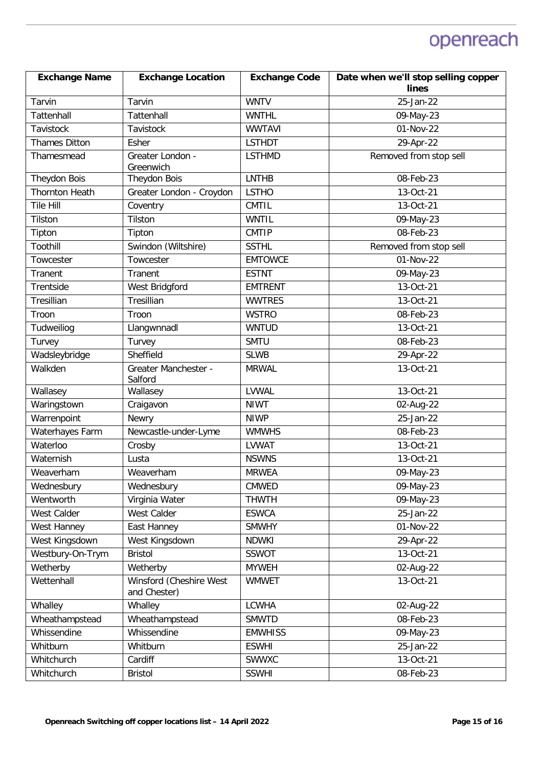| <b>Exchange Name</b>  | <b>Exchange Location</b>                | <b>Exchange Code</b> | Date when we'll stop selling copper |
|-----------------------|-----------------------------------------|----------------------|-------------------------------------|
|                       |                                         |                      | lines                               |
| Tarvin                | Tarvin                                  | <b>WNTV</b>          | 25-Jan-22                           |
| Tattenhall            | Tattenhall                              | <b>WNTHL</b>         | 09-May-23                           |
| Tavistock             | Tavistock                               | <b>WWTAVI</b>        | 01-Nov-22                           |
| <b>Thames Ditton</b>  | Esher                                   | <b>LSTHDT</b>        | 29-Apr-22                           |
| Thamesmead            | Greater London -                        | <b>LSTHMD</b>        | Removed from stop sell              |
|                       | Greenwich                               |                      |                                     |
| Theydon Bois          | Theydon Bois                            | <b>LNTHB</b>         | 08-Feb-23                           |
| <b>Thornton Heath</b> | Greater London - Croydon                | <b>LSTHO</b>         | 13-Oct-21                           |
| <b>Tile Hill</b>      | Coventry                                | <b>CMTIL</b>         | 13-Oct-21                           |
| Tilston               | Tilston                                 | <b>WNTIL</b>         | 09-May-23                           |
| Tipton                | Tipton                                  | <b>CMTIP</b>         | 08-Feb-23                           |
| Toothill              | Swindon (Wiltshire)                     | <b>SSTHL</b>         | Removed from stop sell              |
| Towcester             | Towcester                               | <b>EMTOWCE</b>       | 01-Nov-22                           |
| Tranent               | Tranent                                 | <b>ESTNT</b>         | 09-May-23                           |
| Trentside             | West Bridgford                          | <b>EMTRENT</b>       | 13-Oct-21                           |
| Tresillian            | Tresillian                              | <b>WWTRES</b>        | 13-Oct-21                           |
| Troon                 | Troon                                   | <b>WSTRO</b>         | 08-Feb-23                           |
| Tudweiliog            | Llangwnnadl                             | <b>WNTUD</b>         | 13-Oct-21                           |
| Turvey                | Turvey                                  | <b>SMTU</b>          | 08-Feb-23                           |
| Wadsleybridge         | Sheffield                               | <b>SLWB</b>          | 29-Apr-22                           |
| Walkden               | Greater Manchester -<br>Salford         | <b>MRWAL</b>         | 13-Oct-21                           |
| Wallasey              | Wallasey                                | LVWAL                | 13-Oct-21                           |
| Waringstown           | Craigavon                               | <b>NIWT</b>          | 02-Aug-22                           |
| Warrenpoint           | Newry                                   | <b>NIWP</b>          | 25-Jan-22                           |
| Waterhayes Farm       | Newcastle-under-Lyme                    | <b>WMWHS</b>         | 08-Feb-23                           |
| Waterloo              | Crosby                                  | <b>LVWAT</b>         | 13-Oct-21                           |
| Waternish             | Lusta                                   | <b>NSWNS</b>         | 13-Oct-21                           |
| Weaverham             | Weaverham                               | <b>MRWEA</b>         | 09-May-23                           |
| Wednesbury            | Wednesbury                              | CMWED                | 09-May-23                           |
| Wentworth             | Virginia Water                          | <b>THWTH</b>         | 09-May-23                           |
| West Calder           | West Calder                             | <b>ESWCA</b>         | 25-Jan-22                           |
| West Hanney           | East Hanney                             | <b>SMWHY</b>         | 01-Nov-22                           |
| West Kingsdown        | West Kingsdown                          | <b>NDWKI</b>         | 29-Apr-22                           |
| Westbury-On-Trym      | <b>Bristol</b>                          | SSWOT                | 13-Oct-21                           |
| Wetherby              | Wetherby                                | <b>MYWEH</b>         | 02-Aug-22                           |
| Wettenhall            | Winsford (Cheshire West<br>and Chester) | <b>WMWET</b>         | 13-Oct-21                           |
| Whalley               | Whalley                                 | <b>LCWHA</b>         | 02-Aug-22                           |
| Wheathampstead        | Wheathampstead                          | <b>SMWTD</b>         | 08-Feb-23                           |
| Whissendine           | Whissendine                             | <b>EMWHISS</b>       | 09-May-23                           |
| Whitburn              | Whitburn                                | <b>ESWHI</b>         | 25-Jan-22                           |
| Whitchurch            | Cardiff                                 | SWWXC                | 13-Oct-21                           |
| Whitchurch            | <b>Bristol</b>                          | <b>SSWHI</b>         | 08-Feb-23                           |